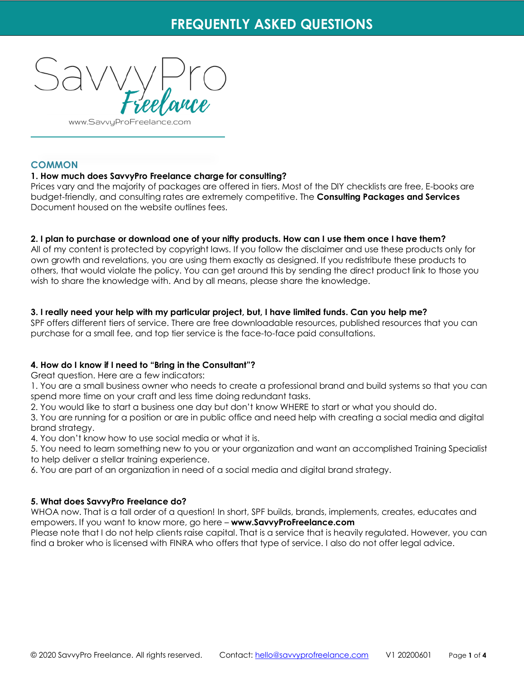

www.SavvyProFreelance.

## **COMMON**

## **1. How much does SavvyPro Freelance charge for consulting?**

Prices vary and the majority of packages are offered in tiers. Most of the DIY checklists are free, E-books are budget-friendly, and consulting rates are extremely competitive. The **Consulting Packages and Services** Document housed on the website outlines fees.

### **2. I plan to purchase or download one of your nifty products. How can I use them once I have them?**

All of my content is protected by copyright laws. If you follow the disclaimer and use these products only for own growth and revelations, you are using them exactly as designed. If you redistribute these products to others, that would violate the policy. You can get around this by sending the direct product link to those you wish to share the knowledge with. And by all means, please share the knowledge.

## **3. I really need your help with my particular project, but, I have limited funds. Can you help me?**

SPF offers different tiers of service. There are free downloadable resources, published resources that you can purchase for a small fee, and top tier service is the face-to-face paid consultations.

### **4. How do I know if I need to "Bring in the Consultant"?**

Great question. Here are a few indicators:

1. You are a small business owner who needs to create a professional brand and build systems so that you can spend more time on your craft and less time doing redundant tasks.

2. You would like to start a business one day but don't know WHERE to start or what you should do.

3. You are running for a position or are in public office and need help with creating a social media and digital brand strategy.

4. You don't know how to use social media or what it is.

5. You need to learn something new to you or your organization and want an accomplished Training Specialist to help deliver a stellar training experience.

6. You are part of an organization in need of a social media and digital brand strategy.

### **5. What does SavvyPro Freelance do?**

WHOA now. That is a tall order of a question! In short, SPF builds, brands, implements, creates, educates and empowers. If you want to know more, go here – **www.SavvyProFreelance.com**

Please note that I do not help clients raise capital. That is a service that is heavily regulated. However, you can find a broker who is licensed with FINRA who offers that type of service. I also do not offer legal advice.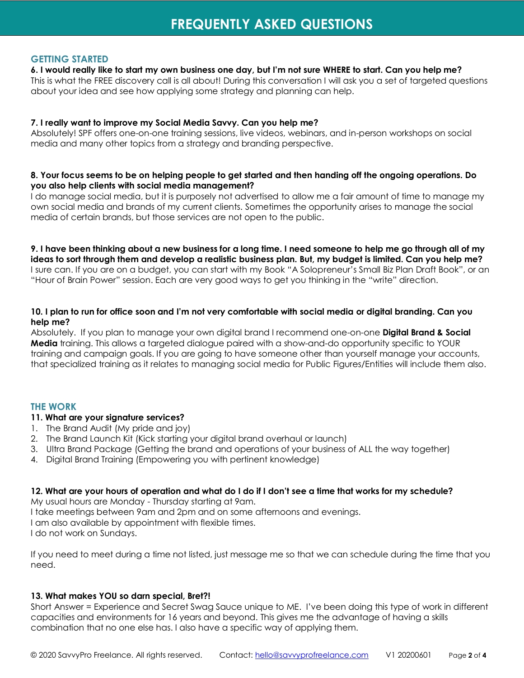## **GETTING STARTED**

#### **6. I would really like to start my own business one day, but I'm not sure WHERE to start. Can you help me?**

This is what the FREE discovery call is all about! During this conversation I will ask you a set of targeted questions about your idea and see how applying some strategy and planning can help.

### **7. I really want to improve my Social Media Savvy. Can you help me?**

Absolutely! SPF offers one-on-one training sessions, live videos, webinars, and in-person workshops on social media and many other topics from a strategy and branding perspective.

### **8. Your focus seems to be on helping people to get started and then handing off the ongoing operations. Do you also help clients with social media management?**

I do manage social media, but it is purposely not advertised to allow me a fair amount of time to manage my own social media and brands of my current clients. Sometimes the opportunity arises to manage the social media of certain brands, but those services are not open to the public.

**9. I have been thinking about a new business for a long time. I need someone to help me go through all of my ideas to sort through them and develop a realistic business plan. But, my budget is limited. Can you help me?** I sure can. If you are on a budget, you can start with my Book "A Solopreneur's Small Biz Plan Draft Book", or an "Hour of Brain Power" session. Each are very good ways to get you thinking in the "write" direction.

## **10. I plan to run for office soon and I'm not very comfortable with social media or digital branding. Can you help me?**

Absolutely. If you plan to manage your own digital brand I recommend one-on-one **Digital Brand & Social Media** training. This allows a targeted dialogue paired with a show-and-do opportunity specific to YOUR training and campaign goals. If you are going to have someone other than yourself manage your accounts, that specialized training as it relates to managing social media for Public Figures/Entities will include them also.

# **THE WORK**

### **11. What are your signature services?**

- 1. The Brand Audit (My pride and joy)
- 2. The Brand Launch Kit (Kick starting your digital brand overhaul or launch)
- 3. Ultra Brand Package (Getting the brand and operations of your business of ALL the way together)
- 4. Digital Brand Training (Empowering you with pertinent knowledge)

### **12. What are your hours of operation and what do I do if I don't see a time that works for my schedule?**

My usual hours are Monday - Thursday starting at 9am.

I take meetings between 9am and 2pm and on some afternoons and evenings.

I am also available by appointment with flexible times.

I do not work on Sundays.

If you need to meet during a time not listed, just message me so that we can schedule during the time that you need.

### **13. What makes YOU so darn special, Bret?!**

Short Answer = Experience and Secret Swag Sauce unique to ME. I've been doing this type of work in different capacities and environments for 16 years and beyond. This gives me the advantage of having a skills combination that no one else has. I also have a specific way of applying them.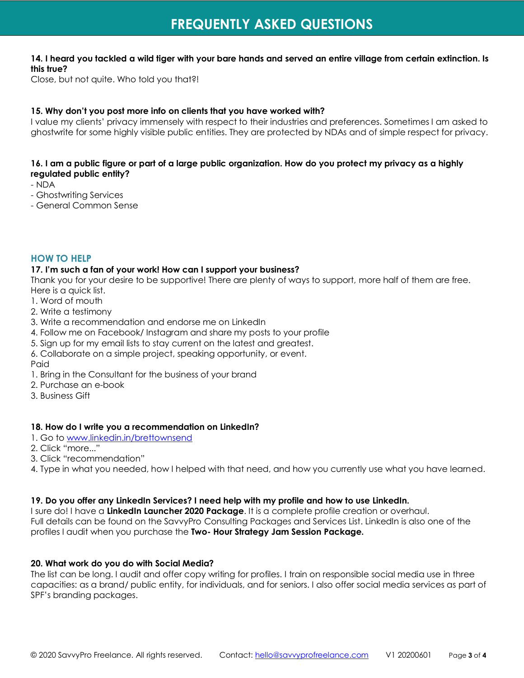## **14. I heard you tackled a wild tiger with your bare hands and served an entire village from certain extinction. Is this true?**

Close, but not quite. Who told you that?!

## **15. Why don't you post more info on clients that you have worked with?**

I value my clients' privacy immensely with respect to their industries and preferences. Sometimes I am asked to ghostwrite for some highly visible public entities. They are protected by NDAs and of simple respect for privacy.

## **16. I am a public figure or part of a large public organization. How do you protect my privacy as a highly regulated public entity?**

- NDA
- Ghostwriting Services
- General Common Sense

## **HOW TO HELP**

#### **17. I'm such a fan of your work! How can I support your business?**

Thank you for your desire to be supportive! There are plenty of ways to support, more half of them are free. Here is a quick list.

- 1. Word of mouth
- 2. Write a testimony
- 3. Write a recommendation and endorse me on LinkedIn
- 4. Follow me on Facebook/ Instagram and share my posts to your profile
- 5. Sign up for my email lists to stay current on the latest and greatest.
- 6. Collaborate on a simple project, speaking opportunity, or event.
- Paid
- 1. Bring in the Consultant for the business of your brand
- 2. Purchase an e-book
- 3. Business Gift

#### **18. How do I write you a recommendation on LinkedIn?**

- 1. Go to [www.linkedin.in/brettownsend](http://www.linkedin.in/brettownsend)
- 2. Click "more..."
- 3. Click "recommendation"
- 4. Type in what you needed, how I helped with that need, and how you currently use what you have learned.

### **19. Do you offer any LinkedIn Services? I need help with my profile and how to use LinkedIn.**

I sure do! I have a **LinkedIn Launcher 2020 Package**. It is a complete profile creation or overhaul. Full details can be found on the SavvyPro Consulting Packages and Services List. LinkedIn is also one of the profiles I audit when you purchase the **Two- Hour Strategy Jam Session Package.**

#### **20. What work do you do with Social Media?**

The list can be long. I audit and offer copy writing for profiles. I train on responsible social media use in three capacities: as a brand/ public entity, for individuals, and for seniors. I also offer social media services as part of SPF's branding packages.